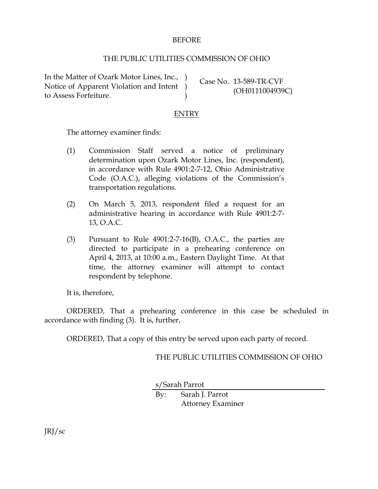## BEFORE

## THE PUBLIC UTILITIES COMMISSION OF OHIO

In the Matter of Ozark Motor Lines, Inc., ) Notice of Apparent Violation and Intent ) to Assess Forfeiture.

Case No. 13-589-TR-CVF (OH0111004939C)

## ENTRY

 $\lambda$ 

The attorney examiner finds:

- (1) Commission Staff served a notice of preliminary determination upon Ozark Motor Lines, Inc. (respondent), in accordance with Rule 4901:2-7-12, Ohio Administrative Code (O.A.C.), alleging violations of the Commission's transportation regulations.
- (2) On March 5, 2013, respondent filed a request for an administrative hearing in accordance with Rule 4901:2-7- 13, O.A.C.
- (3) Pursuant to Rule 4901:2-7-16(B), O.A.C., the parties are directed to participate in a prehearing conference on April 4, 2013, at 10:00 a.m., Eastern Daylight Time. At that time, the attorney examiner will attempt to contact respondent by telephone.

It is, therefore,

ORDERED, That a prehearing conference in this case be scheduled in accordance with finding (3). It is, further,

ORDERED, That a copy of this entry be served upon each party of record.

THE PUBLIC UTILITIES COMMISSION OF OHIO

s/Sarah Parrot

By: Sarah J. Parrot Attorney Examiner